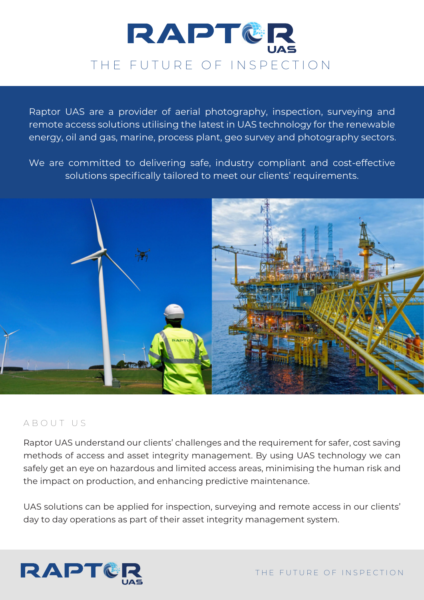

Raptor UAS are a provider of aerial photography, inspection, surveying and remote access solutions utilising the latest in UAS technology for the renewable energy, oil and gas, marine, process plant, geo survey and photography sectors.

We are committed to delivering safe, industry compliant and cost-effective solutions specifically tailored to meet our clients' requirements.



#### ABOUT US

Raptor UAS understand our clients' challenges and the requirement for safer, cost saving methods of access and asset integrity management. By using UAS technology we can safely get an eye on hazardous and limited access areas, minimising the human risk and the impact on production, and enhancing predictive maintenance.

UAS solutions can be applied for inspection, surveying and remote access in our clients' day to day operations as part of their asset integrity management system.

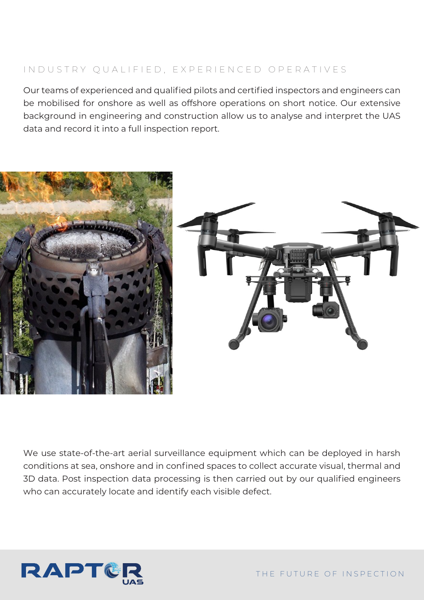# INDUSTRY QUALIFIED, EXPERIENCED OPERATIVES

Our teams of experienced and qualified pilots and certified inspectors and engineers can be mobilised for onshore as well as offshore operations on short notice. Our extensive background in engineering and construction allow us to analyse and interpret the UAS data and record it into a full inspection report.



We use state-of-the-art aerial surveillance equipment which can be deployed in harsh conditions at sea, onshore and in confined spaces to collect accurate visual, thermal and 3D data. Post inspection data processing is then carried out by our qualified engineers who can accurately locate and identify each visible defect.

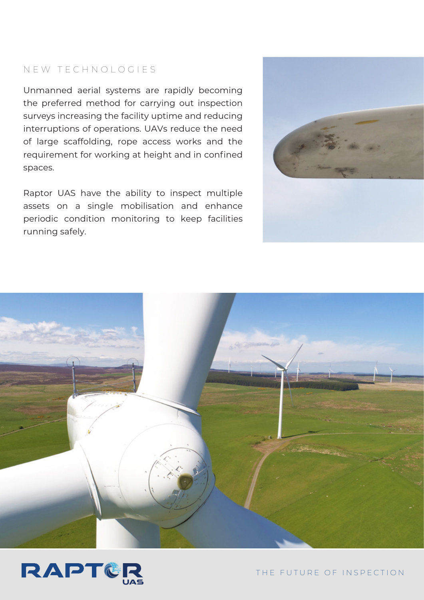## NEW TECHNOLOGIES

Unmanned aerial systems are rapidly becoming the preferred method for carrying out inspection surveys increasing the facility uptime and reducing interruptions of operations. UAVs reduce the need of large scaffolding, rope access works and the requirement for working at height and in confined spaces.

Raptor UAS have the ability to inspect multiple assets on a single mobilisation and enhance periodic condition monitoring to keep facilities running safely.







THE FUTURE OF INSPECTION